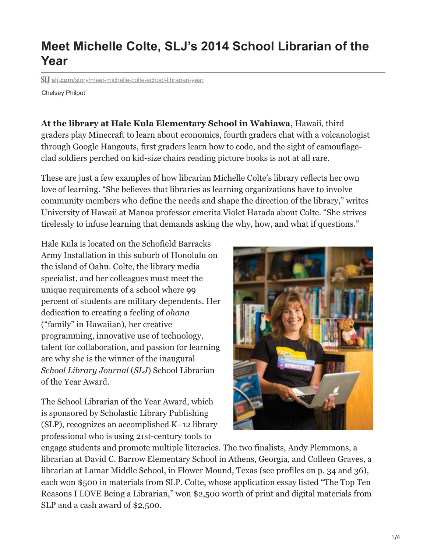## **Meet Michelle Colte, SLJ's 2014 School Librarian of the Year**

**slj.com**[/story/meet-michelle-colte-school-librarian-year](https://www.slj.com/story/meet-michelle-colte-school-librarian-year)

Chelsey Philpot

**At the library at Hale Kula Elementary School in Wahiawa,** Hawaii, third graders play Minecraft to learn about economics, fourth graders chat with a volcanologist through Google Hangouts, first graders learn how to code, and the sight of camouflageclad soldiers perched on kid-size chairs reading picture books is not at all rare.

These are just a few examples of how librarian Michelle Colte's library reflects her own love of learning. "She believes that libraries as learning organizations have to involve community members who define the needs and shape the direction of the library," writes University of Hawaii at Manoa professor emerita Violet Harada about Colte. "She strives tirelessly to infuse learning that demands asking the why, how, and what if questions."

Hale Kula is located on the Schofield Barracks Army Installation in this suburb of Honolulu on the island of Oahu. Colte, the library media specialist, and her colleagues must meet the unique requirements of a school where 99 percent of students are military dependents. Her dedication to creating a feeling of *ohana* ("family" in Hawaiian), her creative programming, innovative use of technology, talent for collaboration, and passion for learning are why she is the winner of the inaugural *School Library Journal* (*SLJ*) School Librarian of the Year Award.

The School Librarian of the Year Award, which is sponsored by Scholastic Library Publishing (SLP), recognizes an accomplished K–12 library professional who is using 21st-century tools to



engage students and promote multiple literacies. The two finalists, Andy Plemmons, a librarian at David C. Barrow Elementary School in Athens, Georgia, and Colleen Graves, a librarian at Lamar Middle School, in Flower Mound, Texas (see profiles on p. 34 and 36), each won \$500 in materials from SLP. Colte, whose application essay listed "The Top Ten Reasons I LOVE Being a Librarian," won \$2,500 worth of print and digital materials from SLP and a cash award of \$2,500.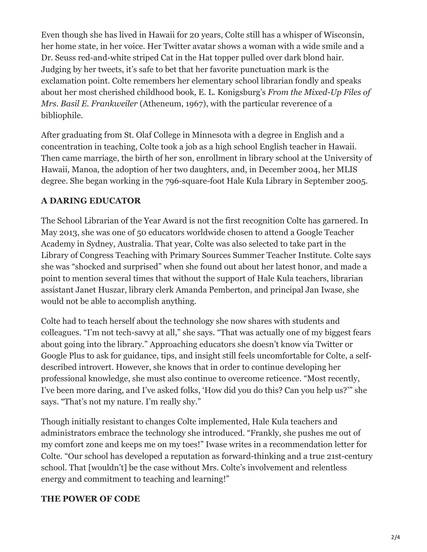Even though she has lived in Hawaii for 20 years, Colte still has a whisper of Wisconsin, her home state, in her voice. Her Twitter avatar shows a woman with a wide smile and a Dr. Seuss red-and-white striped Cat in the Hat topper pulled over dark blond hair. Judging by her tweets, it's safe to bet that her favorite punctuation mark is the exclamation point. Colte remembers her elementary school librarian fondly and speaks about her most cherished childhood book, E. L. Konigsburg's *From the Mixed-Up Files of Mrs. Basil E. Frankweiler* (Atheneum, 1967), with the particular reverence of a bibliophile.

After graduating from St. Olaf College in Minnesota with a degree in English and a concentration in teaching, Colte took a job as a high school English teacher in Hawaii. Then came marriage, the birth of her son, enrollment in library school at the University of Hawaii, Manoa, the adoption of her two daughters, and, in December 2004, her MLIS degree. She began working in the 796-square-foot Hale Kula Library in September 2005.

## **A DARING EDUCATOR**

The School Librarian of the Year Award is not the first recognition Colte has garnered. In May 2013, she was one of 50 educators worldwide chosen to attend a Google Teacher Academy in Sydney, Australia. That year, Colte was also selected to take part in the Library of Congress Teaching with Primary Sources Summer Teacher Institute. Colte says she was "shocked and surprised" when she found out about her latest honor, and made a point to mention several times that without the support of Hale Kula teachers, librarian assistant Janet Huszar, library clerk Amanda Pemberton, and principal Jan Iwase, she would not be able to accomplish anything.

Colte had to teach herself about the technology she now shares with students and colleagues. "I'm not tech-savvy at all," she says. "That was actually one of my biggest fears about going into the library." Approaching educators she doesn't know via Twitter or Google Plus to ask for guidance, tips, and insight still feels uncomfortable for Colte, a selfdescribed introvert. However, she knows that in order to continue developing her professional knowledge, she must also continue to overcome reticence. "Most recently, I've been more daring, and I've asked folks, 'How did you do this? Can you help us?'" she says. "That's not my nature. I'm really shy."

Though initially resistant to changes Colte implemented, Hale Kula teachers and administrators embrace the technology she introduced. "Frankly, she pushes me out of my comfort zone and keeps me on my toes!" Iwase writes in a recommendation letter for Colte. "Our school has developed a reputation as forward-thinking and a true 21st-century school. That [wouldn't] be the case without Mrs. Colte's involvement and relentless energy and commitment to teaching and learning!"

## **THE POWER OF CODE**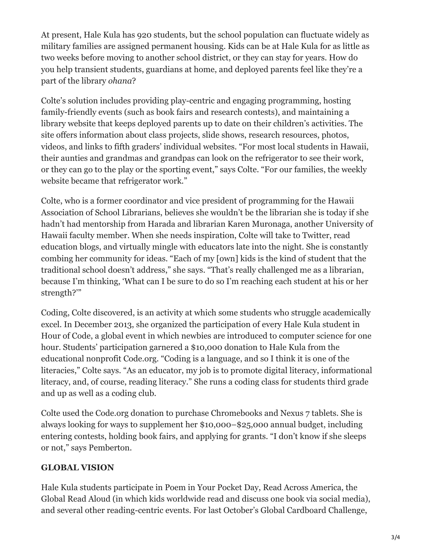At present, Hale Kula has 920 students, but the school population can fluctuate widely as military families are assigned permanent housing. Kids can be at Hale Kula for as little as two weeks before moving to another school district, or they can stay for years. How do you help transient students, guardians at home, and deployed parents feel like they're a part of the library *ohana*?

Colte's solution includes providing play-centric and engaging programming, hosting family-friendly events (such as book fairs and research contests), and maintaining a library website that keeps deployed parents up to date on their children's activities. The site offers information about class projects, slide shows, research resources, photos, videos, and links to fifth graders' individual websites. "For most local students in Hawaii, their aunties and grandmas and grandpas can look on the refrigerator to see their work, or they can go to the play or the sporting event," says Colte. "For our families, the weekly website became that refrigerator work."

Colte, who is a former coordinator and vice president of programming for the Hawaii Association of School Librarians, believes she wouldn't be the librarian she is today if she hadn't had mentorship from Harada and librarian Karen Muronaga, another University of Hawaii faculty member. When she needs inspiration, Colte will take to Twitter, read education blogs, and virtually mingle with educators late into the night. She is constantly combing her community for ideas. "Each of my [own] kids is the kind of student that the traditional school doesn't address," she says. "That's really challenged me as a librarian, because I'm thinking, 'What can I be sure to do so I'm reaching each student at his or her strength?'"

Coding, Colte discovered, is an activity at which some students who struggle academically excel. In December 2013, she organized the participation of every Hale Kula student in Hour of Code, a global event in which newbies are introduced to computer science for one hour. Students' participation garnered a \$10,000 donation to Hale Kula from the educational nonprofit Code.org. "Coding is a language, and so I think it is one of the literacies," Colte says. "As an educator, my job is to promote digital literacy, informational literacy, and, of course, reading literacy." She runs a coding class for students third grade and up as well as a coding club.

Colte used the Code.org donation to purchase Chromebooks and Nexus 7 tablets. She is always looking for ways to supplement her \$10,000–\$25,000 annual budget, including entering contests, holding book fairs, and applying for grants. "I don't know if she sleeps or not," says Pemberton.

## **GLOBAL VISION**

Hale Kula students participate in Poem in Your Pocket Day, Read Across America, the Global Read Aloud (in which kids worldwide read and discuss one book via social media), and several other reading-centric events. For last October's Global Cardboard Challenge,